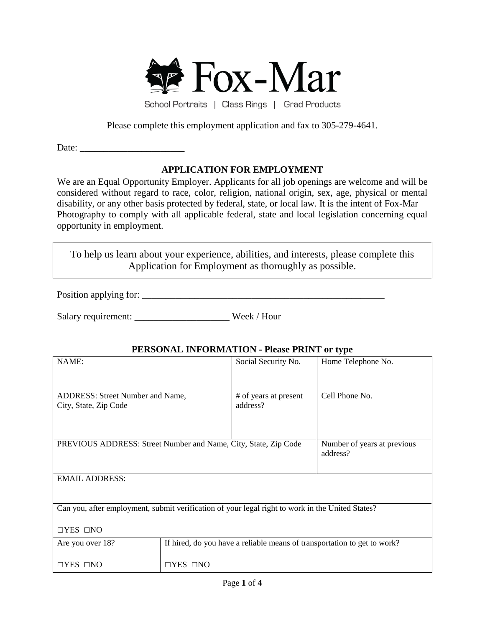

School Portraits | Class Rings | Grad Products

Please complete this employment application and fax to 305-279-4641.

Date: \_\_\_\_\_\_\_\_\_\_\_\_\_\_\_\_\_\_\_\_\_\_

# **APPLICATION FOR EMPLOYMENT**

We are an Equal Opportunity Employer. Applicants for all job openings are welcome and will be considered without regard to race, color, religion, national origin, sex, age, physical or mental disability, or any other basis protected by federal, state, or local law. It is the intent of Fox-Mar Photography to comply with all applicable federal, state and local legislation concerning equal opportunity in employment.

To help us learn about your experience, abilities, and interests, please complete this Application for Employment as thoroughly as possible.

Position applying for: \_\_\_\_\_\_\_\_\_\_\_\_\_\_\_\_\_\_\_\_\_\_\_\_\_\_\_\_\_\_\_\_\_\_\_\_\_\_\_\_\_\_\_\_\_\_\_\_\_\_\_

Salary requirement: \_\_\_\_\_\_\_\_\_\_\_\_\_\_\_\_\_\_\_\_\_\_\_\_\_\_\_\_ Week / Hour

#### **PERSONAL INFORMATION - Please PRINT or type**

| NAME:                                                                                            |                      | Social Security No.               | Home Telephone No.                                                       |
|--------------------------------------------------------------------------------------------------|----------------------|-----------------------------------|--------------------------------------------------------------------------|
|                                                                                                  |                      |                                   |                                                                          |
| <b>ADDRESS: Street Number and Name,</b><br>City, State, Zip Code                                 |                      | # of years at present<br>address? | Cell Phone No.                                                           |
|                                                                                                  |                      |                                   |                                                                          |
|                                                                                                  |                      |                                   |                                                                          |
| PREVIOUS ADDRESS: Street Number and Name, City, State, Zip Code                                  |                      |                                   | Number of years at previous<br>address?                                  |
|                                                                                                  |                      |                                   |                                                                          |
| <b>EMAIL ADDRESS:</b>                                                                            |                      |                                   |                                                                          |
|                                                                                                  |                      |                                   |                                                                          |
| Can you, after employment, submit verification of your legal right to work in the United States? |                      |                                   |                                                                          |
| $\Box$ YES $\Box$ NO                                                                             |                      |                                   |                                                                          |
| Are you over 18?                                                                                 |                      |                                   | If hired, do you have a reliable means of transportation to get to work? |
| $\Box$ YES $\Box$ NO                                                                             | $\Box$ YES $\Box$ NO |                                   |                                                                          |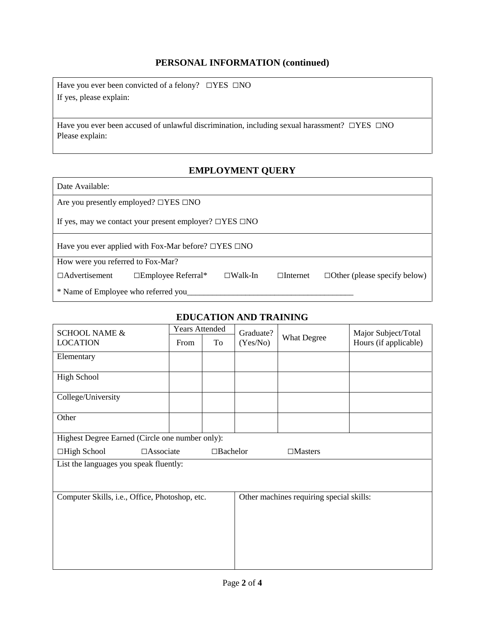## **PERSONAL INFORMATION (continued)**

Have you ever been convicted of a felony?  $\square$ YES  $\square$ NO If yes, please explain:

Have you ever been accused of unlawful discrimination, including sexual harassment? □YES □NO Please explain:

# **EMPLOYMENT QUERY**

Date Available:

Are you presently employed? □YES □NO

If yes, may we contact your present employer? □YES □NO

Have you ever applied with Fox-Mar before? □YES □NO

How were you referred to Fox-Mar?

□Advertisement □Employee Referral\* □Walk-In □Internet □Other (please specify below)

\* Name of Employee who referred you\_\_\_\_\_\_\_\_\_\_\_\_\_\_\_\_\_\_\_\_\_\_\_\_\_\_\_\_\_\_\_\_\_\_\_\_\_\_\_\_

## **EDUCATION AND TRAINING**

| <b>SCHOOL NAME &amp;</b>                                              | <b>Years Attended</b> |    | Graduate? |                                          | Major Subject/Total   |
|-----------------------------------------------------------------------|-----------------------|----|-----------|------------------------------------------|-----------------------|
| <b>LOCATION</b>                                                       | From                  | To | (Yes/No)  | <b>What Degree</b>                       | Hours (if applicable) |
| Elementary                                                            |                       |    |           |                                          |                       |
| <b>High School</b>                                                    |                       |    |           |                                          |                       |
| College/University                                                    |                       |    |           |                                          |                       |
| Other                                                                 |                       |    |           |                                          |                       |
| Highest Degree Earned (Circle one number only):                       |                       |    |           |                                          |                       |
| □High School<br>$\Box$ Associate<br>$\Box$ Bachelor<br>$\Box$ Masters |                       |    |           |                                          |                       |
| List the languages you speak fluently:                                |                       |    |           |                                          |                       |
|                                                                       |                       |    |           |                                          |                       |
| Computer Skills, i.e., Office, Photoshop, etc.                        |                       |    |           | Other machines requiring special skills: |                       |
|                                                                       |                       |    |           |                                          |                       |
|                                                                       |                       |    |           |                                          |                       |
|                                                                       |                       |    |           |                                          |                       |
|                                                                       |                       |    |           |                                          |                       |
|                                                                       |                       |    |           |                                          |                       |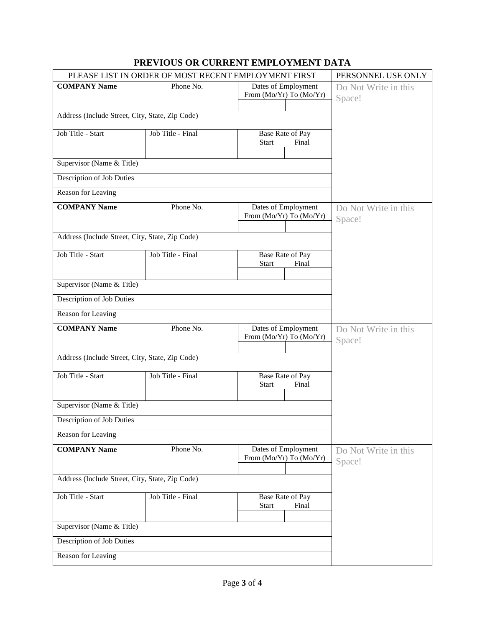| PLEASE LIST IN ORDER OF MOST RECENT EMPLOYMENT FIRST |                   |                                                | PERSONNEL USE ONLY             |
|------------------------------------------------------|-------------------|------------------------------------------------|--------------------------------|
| <b>COMPANY Name</b>                                  | Phone No.         | Dates of Employment<br>From (Mo/Yr) To (Mo/Yr) | Do Not Write in this<br>Space! |
|                                                      |                   |                                                |                                |
| Address (Include Street, City, State, Zip Code)      |                   |                                                |                                |
| Job Title - Start                                    | Job Title - Final | Base Rate of Pay<br><b>Start</b><br>Final      |                                |
|                                                      |                   |                                                |                                |
| Supervisor (Name & Title)                            |                   |                                                |                                |
| Description of Job Duties                            |                   |                                                |                                |
| Reason for Leaving                                   |                   |                                                |                                |
| <b>COMPANY Name</b>                                  | Phone No.         | Dates of Employment<br>From (Mo/Yr) To (Mo/Yr) | Do Not Write in this<br>Space! |
| Address (Include Street, City, State, Zip Code)      |                   |                                                |                                |
| Job Title - Start                                    | Job Title - Final | Base Rate of Pay<br>Final<br><b>Start</b>      |                                |
|                                                      |                   |                                                |                                |
| Supervisor (Name & Title)                            |                   |                                                |                                |
| <b>Description of Job Duties</b>                     |                   |                                                |                                |
| Reason for Leaving                                   |                   |                                                |                                |
| <b>COMPANY Name</b>                                  | Phone No.         | Dates of Employment<br>From (Mo/Yr) To (Mo/Yr) | Do Not Write in this<br>Space! |
| Address (Include Street, City, State, Zip Code)      |                   |                                                |                                |
| Job Title - Start                                    | Job Title - Final | Base Rate of Pay<br><b>Start</b><br>Final      |                                |
|                                                      |                   |                                                |                                |
| Supervisor (Name & Title)                            |                   |                                                |                                |
| Description of Job Duties                            |                   |                                                |                                |
| Reason for Leaving                                   |                   |                                                |                                |
| <b>COMPANY Name</b>                                  | Phone No.         | Dates of Employment<br>From (Mo/Yr) To (Mo/Yr) | Do Not Write in this<br>Space! |
| Address (Include Street, City, State, Zip Code)      |                   |                                                |                                |
| Job Title - Start                                    | Job Title - Final | Base Rate of Pay                               |                                |
|                                                      |                   | <b>Start</b><br>Final                          |                                |
| Supervisor (Name & Title)                            |                   |                                                |                                |
| Description of Job Duties                            |                   |                                                |                                |
| <b>Reason for Leaving</b>                            |                   |                                                |                                |
|                                                      |                   |                                                |                                |

# **PREVIOUS OR CURRENT EMPLOYMENT DATA**